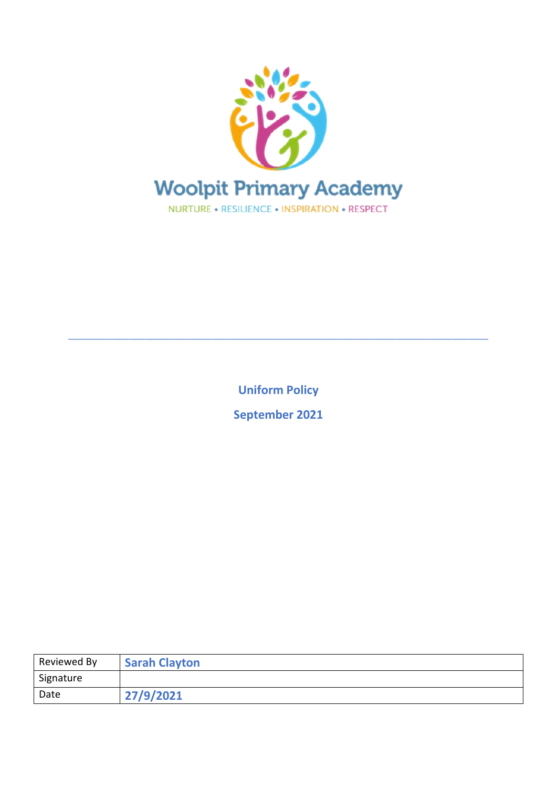

**Uniform Policy**

\_\_\_\_\_\_\_\_\_\_\_\_\_\_\_\_\_\_\_\_\_\_\_\_\_\_\_\_\_\_\_\_\_\_\_\_\_\_\_\_\_\_\_\_\_\_\_\_\_\_\_\_\_\_\_\_\_\_\_\_\_\_\_\_\_\_\_\_\_\_\_\_\_\_\_\_\_\_\_\_\_\_

**September 2021**

| Reviewed By | <b>Sarah Clayton</b> |
|-------------|----------------------|
| Signature   |                      |
| Date        | 27/9/2021            |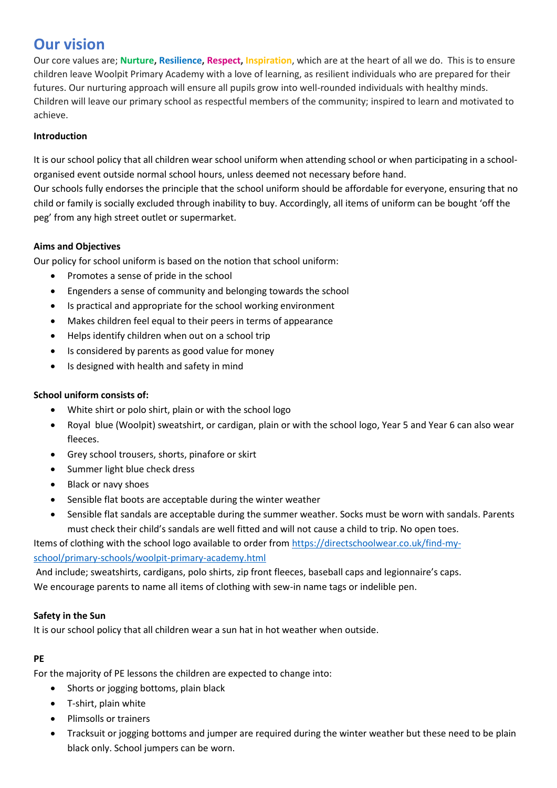# **Our vision**

Our core values are; **Nurture, Resilience, Respect, Inspiration**, which are at the heart of all we do. This is to ensure children leave Woolpit Primary Academy with a love of learning, as resilient individuals who are prepared for their futures. Our nurturing approach will ensure all pupils grow into well-rounded individuals with healthy minds. Children will leave our primary school as respectful members of the community; inspired to learn and motivated to achieve.

# **Introduction**

It is our school policy that all children wear school uniform when attending school or when participating in a schoolorganised event outside normal school hours, unless deemed not necessary before hand.

Our schools fully endorses the principle that the school uniform should be affordable for everyone, ensuring that no child or family is socially excluded through inability to buy. Accordingly, all items of uniform can be bought 'off the peg' from any high street outlet or supermarket.

# **Aims and Objectives**

Our policy for school uniform is based on the notion that school uniform:

- Promotes a sense of pride in the school
- Engenders a sense of community and belonging towards the school
- Is practical and appropriate for the school working environment
- Makes children feel equal to their peers in terms of appearance
- Helps identify children when out on a school trip
- Is considered by parents as good value for money
- Is designed with health and safety in mind

## **School uniform consists of:**

- White shirt or polo shirt, plain or with the school logo
- Royal blue (Woolpit) sweatshirt, or cardigan, plain or with the school logo, Year 5 and Year 6 can also wear fleeces.
- Grey school trousers, shorts, pinafore or skirt
- Summer light blue check dress
- Black or navy shoes
- Sensible flat boots are acceptable during the winter weather
- Sensible flat sandals are acceptable during the summer weather. Socks must be worn with sandals. Parents must check their child's sandals are well fitted and will not cause a child to trip. No open toes.

Items of clothing with the school logo available to order from [https://directschoolwear.co.uk/find-my](https://directschoolwear.co.uk/find-my-school/primary-schools/woolpit-primary-academy.html)[school/primary-schools/woolpit-primary-academy.html](https://directschoolwear.co.uk/find-my-school/primary-schools/woolpit-primary-academy.html)

And include; sweatshirts, cardigans, polo shirts, zip front fleeces, baseball caps and legionnaire's caps. We encourage parents to name all items of clothing with sew-in name tags or indelible pen.

## **Safety in the Sun**

It is our school policy that all children wear a sun hat in hot weather when outside.

## **PE**

For the majority of PE lessons the children are expected to change into:

- Shorts or jogging bottoms, plain black
- T-shirt, plain white
- Plimsolls or trainers
- Tracksuit or jogging bottoms and jumper are required during the winter weather but these need to be plain black only. School jumpers can be worn.